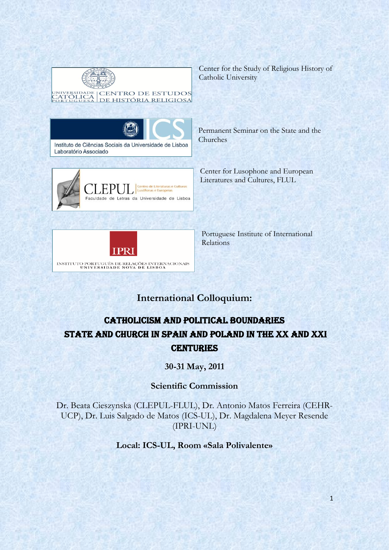

Center for the Study of Religious History of Catholic University





Permanent Seminar on the State and the Churches

Center for Lusophone and European Literatures and Cultures, FLUL



Portuguese Institute of International Relations

# **International Colloquium:**

# Catholicism and Political Boundaries State and Church in Spain and Poland in the XX and XXI **CENTURIES**

**30-31 May, 2011**

## **Scientific Commission**

Dr. Beata Cieszynska (CLEPUL-FLUL), Dr. Antonio Matos Ferreira (CEHR-UCP), Dr. Luis Salgado de Matos (ICS-UL), Dr. Magdalena Meyer Resende (IPRI-UNL)

### **Local: ICS-UL, Room «Sala Polivalente»**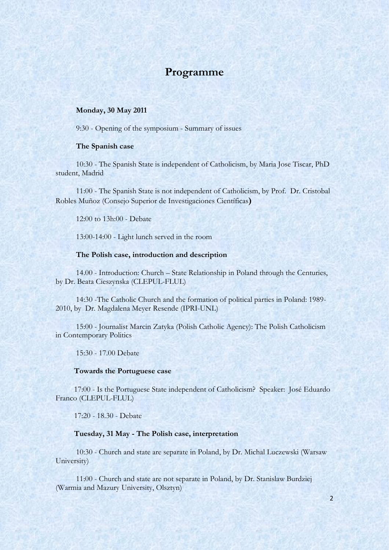## **Programme**

#### **Monday, 30 May 2011**

9:30 - Opening of the symposium - Summary of issues

#### **The Spanish case**

10:30 - The Spanish State is independent of Catholicism, by Maria Jose Tiscar, PhD student, Madrid

11:00 - The Spanish State is not independent of Catholicism, by Prof. Dr. Cristobal Robles Muñoz (Consejo Superior de Investigaciones Científicas**)**

12:00 to 13h:00 - Debate

13:00-14:00 - Light lunch served in the room

#### **The Polish case, introduction and description**

14.00 - Introduction: Church – State Relationship in Poland through the Centuries, by Dr. Beata Cieszynska (CLEPUL-FLUL)

14:30 -The Catholic Church and the formation of political parties in Poland: 1989- 2010, by Dr. Magdalena Meyer Resende (IPRI-UNL)

15:00 - Journalist Marcin Zatyka (Polish Catholic Agency): The Polish Catholicism in Contemporary Politics

15:30 - 17.00 Debate

#### **Towards the Portuguese case**

17:00 - Is the Portuguese State independent of Catholicism? Speaker: José Eduardo Franco (CLEPUL-FLUL)

17:20 - 18.30 - Debate

#### **Tuesday, 31 May - The Polish case, interpretation**

10:30 - Church and state are separate in Poland, by Dr. Michal Luczewski (Warsaw University)

11:00 - Church and state are not separate in Poland, by Dr. Stanislaw Burdziej (Warmia and Mazury University, Olsztyn)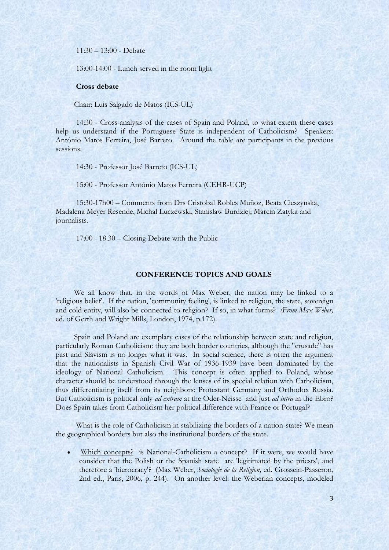11:30 – 13:00 - Debate

13:00-14:00 - Lunch served in the room light

#### **Cross debate**

Chair: Luis Salgado de Matos (ICS-UL)

14:30 - Cross-analysis of the cases of Spain and Poland, to what extent these cases help us understand if the Portuguese State is independent of Catholicism? Speakers: António Matos Ferreira, José Barreto. Around the table are participants in the previous sessions.

14:30 - Professor José Barreto (ICS-UL)

15:00 - Professor António Matos Ferreira (CEHR-UCP)

15:30-17h00 – Comments from Drs Cristobal Robles Muñoz, Beata Cieszynska, Madalena Meyer Resende, Michal Luczewski, Stanislaw Burdziej; Marcin Zatyka and journalists.

17:00 - 18.30 – Closing Debate with the Public

#### **CONFERENCE TOPICS AND GOALS**

We all know that, in the words of Max Weber, the nation may be linked to a 'religious belief'. If the nation, 'community feeling', is linked to religion, the state, sovereign and cold entity, will also be connected to religion? If so, in what forms? *(From Max Weber,* ed. of Gerth and Wright Mills, London, 1974, p.172).

Spain and Poland are exemplary cases of the relationship between state and religion, particularly Roman Catholicism: they are both border countries, although the "crusade" has past and Slavism is no longer what it was. In social science, there is often the argument that the nationalists in Spanish Civil War of 1936-1939 have been dominated by the ideology of National Catholicism. This concept is often applied to Poland, whose character should be understood through the lenses of its special relation with Catholicism, thus differentiating itself from its neighbors: Protestant Germany and Orthodox Russia. But Catholicism is political only *ad extram* at the Oder-Neisse and just *ad intra* in the Ebro? Does Spain takes from Catholicism her political difference with France or Portugal?

What is the role of Catholicism in stabilizing the borders of a nation-state? We mean the geographical borders but also the institutional borders of the state.

Which concepts? is National-Catholicism a concept? If it were, we would have consider that the Polish or the Spanish state are 'legitimated by the priests', and therefore a 'hierocracy'? (Max Weber, *Sociologie de la Religion,* ed. Grossein-Passeron, 2nd ed., Paris, 2006, p. 244). On another level: the Weberian concepts, modeled